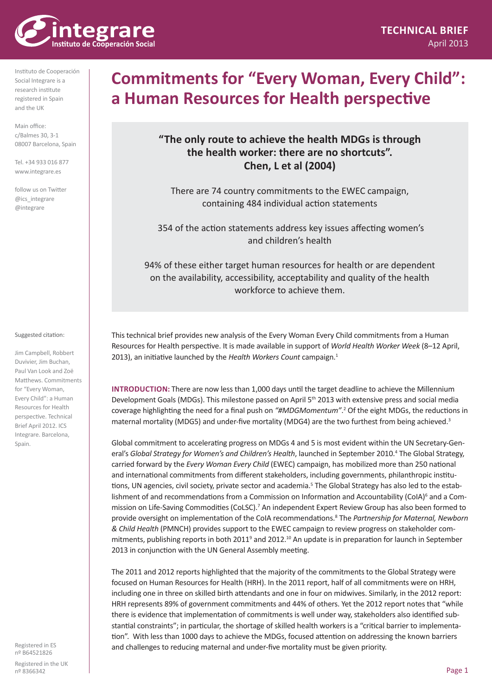

Main office: c/Balmes 30, 3-1 08007 Barcelona, Spain

Tel. +34 933 016 877 www.integrare.es

follow us on Twitter @ics\_integrare @integrare

### Jim Campbell, Robbert

Suggested citation:

Duvivier, Jim Buchan, Paul Van Look and Zoë Matthews. Commitments for "Every Woman, Every Child": a Human Resources for Health perspective. Technical Brief April 2012. ICS Integrare. Barcelona, Spain.

Registered in ES nº B64521826

Registered in the UK nº 8366342

# **Commitments for "Every Woman, Every Child": a Human Resources for Health perspective**

## **"The only route to achieve the health MDGs is through the health worker: there are no shortcuts". Chen, L et al (2004)**

There are 74 country commitments to the EWEC campaign, containing 484 individual action statements

 354 of the action statements address key issues affecting women's and children's health

94% of these either target human resources for health or are dependent on the availability, accessibility, acceptability and quality of the health workforce to achieve them.

This technical brief provides new analysis of the Every Woman Every Child commitments from a Human Resources for Health perspective. It is made available in support of *World Health Worker Week* (8–12 April, 2013), an initiative launched by the *Health Workers Count* campaign.<sup>1</sup>

**Introduction:** There are now less than 1,000 days until the target deadline to achieve the Millennium Development Goals (MDGs). This milestone passed on April 5<sup>th</sup> 2013 with extensive press and social media coverage highlighting the need for a final push on *"#MDGMomentum"*. 2 Of the eight MDGs, the reductions in maternal mortality (MDG5) and under-five mortality (MDG4) are the two furthest from being achieved.3

Global commitment to accelerating progress on MDGs 4 and 5 is most evident within the UN Secretary-General's Global Strategy for Women's and Children's Health, launched in September 2010.<sup>4</sup> The Global Strategy, carried forward by the *Every Woman Every Child* (EWEC) campaign, has mobilized more than 250 national and international commitments from different stakeholders, including governments, philanthropic institutions, UN agencies, civil society, private sector and academia.<sup>5</sup> The Global Strategy has also led to the establishment of and recommendations from a Commission on Information and Accountability (CoIA)<sup>6</sup> and a Commission on Life-Saving Commodities (CoLSC).<sup>7</sup> An independent Expert Review Group has also been formed to provide oversight on implementation of the CoIA recommendations.<sup>8</sup> The *Partnership for Maternal, Newborn & Child Health* (PMNCH) provides support to the EWEC campaign to review progress on stakeholder commitments, publishing reports in both 2011<sup>9</sup> and 2012.<sup>10</sup> An update is in preparation for launch in September 2013 in conjunction with the UN General Assembly meeting.

The 2011 and 2012 reports highlighted that the majority of the commitments to the Global Strategy were focused on Human Resources for Health (HRH). In the 2011 report, half of all commitments were on HRH, including one in three on skilled birth attendants and one in four on midwives. Similarly, in the 2012 report: HRH represents 89% of government commitments and 44% of others. Yet the 2012 report notes that "while there is evidence that implementation of commitments is well under way, stakeholders also identified substantial constraints"; in particular, the shortage of skilled health workers is a "critical barrier to implementation". With less than 1000 days to achieve the MDGs, focused attention on addressing the known barriers and challenges to reducing maternal and under-five mortality must be given priority.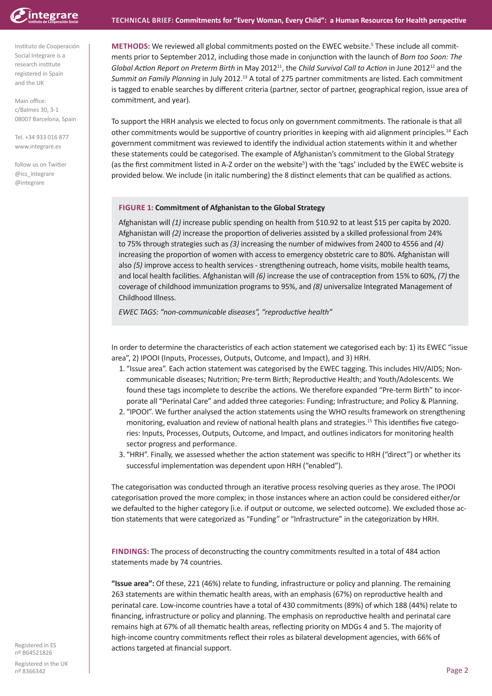

Main office: c/Balmes 30, 3-1 08007 Barcelona, Spain

Tel. +34 933 016 877 www.integrare.es

follow us on Twitter @ics\_integrare @integrare

**METHODS:** We reviewed all global commitments posted on the EWEC website.<sup>5</sup> These include all commitments prior to September 2012, including those made in conjunction with the launch of *Born too Soon: The Global Action Report on Preterm Birth* in May 2012<sup>11</sup>, the *Child Survival Call to Action* in June 201212 and the *Summit on Family Planning* in July 2012.13 A total of 275 partner commitments are listed. Each commitment is tagged to enable searches by different criteria (partner, sector of partner, geographical region, issue area of commitment, and year).

To support the HRH analysis we elected to focus only on government commitments. The rationale is that all other commitments would be supportive of country priorities in keeping with aid alignment principles.14 Each government commitment was reviewed to identify the individual action statements within it and whether these statements could be categorised. The example of Afghanistan's commitment to the Global Strategy (as the first commitment listed in A-Z order on the website<sup>5</sup>) with the 'tags' included by the EWEC website is provided below. We include (in italic numbering) the 8 distinct elements that can be qualified as actions.

### **Figure 1: Commitment of Afghanistan to the Global Strategy**

Afghanistan will *(1)* increase public spending on health from \$10.92 to at least \$15 per capita by 2020. Afghanistan will *(2)* increase the proportion of deliveries assisted by a skilled professional from 24% to 75% through strategies such as *(3)* increasing the number of midwives from 2400 to 4556 and *(4)* increasing the proportion of women with access to emergency obstetric care to 80%. Afghanistan will also *(5)* improve access to health services - strengthening outreach, home visits, mobile health teams, and local health facilities. Afghanistan will *(6)* increase the use of contraception from 15% to 60%, *(7)* the coverage of childhood immunization programs to 95%, and *(8)* universalize Integrated Management of Childhood Illness.

*EWEC TAGS: "non-communicable diseases", "reproductive health"*

In order to determine the characteristics of each action statement we categorised each by: 1) its EWEC "issue area", 2) IPOOI (Inputs, Processes, Outputs, Outcome, and Impact), and 3) HRH.

- 1. "Issue area". Each action statement was categorised by the EWEC tagging. This includes HIV/AIDS; Noncommunicable diseases; Nutrition; Pre-term Birth; Reproductive Health; and Youth/Adolescents. We found these tags incomplete to describe the actions. We therefore expanded "Pre-term Birth" to incorporate all "Perinatal Care" and added three categories: Funding; Infrastructure; and Policy & Planning.
- 2. "IPOOI". We further analysed the action statements using the WHO results framework on strengthening monitoring, evaluation and review of national health plans and strategies.15 This identifies five categories: Inputs, Processes, Outputs, Outcome, and Impact, and outlines indicators for monitoring health sector progress and performance.
- 3. "HRH". Finally, we assessed whether the action statement was specific to HRH ("direct") or whether its successful implementation was dependent upon HRH ("enabled").

The categorisation was conducted through an iterative process resolving queries as they arose. The IPOOI categorisation proved the more complex; in those instances where an action could be considered either/or we defaulted to the higher category (i.e. if output or outcome, we selected outcome). We excluded those action statements that were categorized as "Funding" or "Infrastructure" in the categorization by HRH.

**Findings:** The process of deconstructing the country commitments resulted in a total of 484 action statements made by 74 countries.

**"Issue area":** Of these, 221 (46%) relate to funding, infrastructure or policy and planning. The remaining 263 statements are within thematic health areas, with an emphasis (67%) on reproductive health and perinatal care. Low-income countries have a total of 430 commitments (89%) of which 188 (44%) relate to financing, infrastructure or policy and planning. The emphasis on reproductive health and perinatal care remains high at 67% of all thematic health areas, reflecting priority on MDGs 4 and 5. The majority of high-income country commitments reflect their roles as bilateral development agencies, with 66% of Registered in ES<br>
actions targeted at financial support.

nº B64521826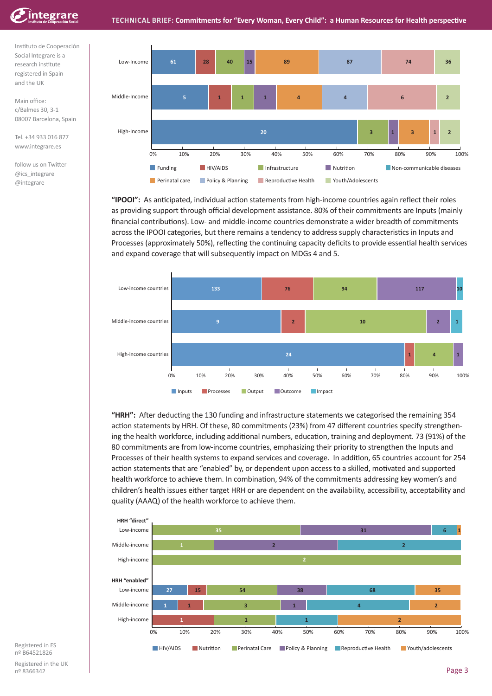

Main office: c/Balmes 30, 3-1 08007 Barcelona, Spain

Tel. +34 933 016 877 www.integrare.es

follow us on Twitter @ics\_integrare @integrare



**"IPOOI":** As anticipated, individual action statements from high-income countries again reflect their roles as providing support through official development assistance. 80% of their commitments are Inputs (mainly financial contributions). Low- and middle-income countries demonstrate a wider breadth of commitments across the IPOOI categories, but there remains a tendency to address supply characteristics in Inputs and Processes (approximately 50%), reflecting the continuing capacity deficits to provide essential health services and expand coverage that will subsequently impact on MDGs 4 and 5.



**"HRH":** After deducting the 130 funding and infrastructure statements we categorised the remaining 354 action statements by HRH. Of these, 80 commitments (23%) from 47 different countries specify strengthening the health workforce, including additional numbers, education, training and deployment. 73 (91%) of the 80 commitments are from low-income countries, emphasizing their priority to strengthen the Inputs and Processes of their health systems to expand services and coverage. In addition, 65 countries account for 254 action statements that are "enabled" by, or dependent upon access to a skilled, motivated and supported health workforce to achieve them. In combination, 94% of the commitments addressing key women's and children's health issues either target HRH or are dependent on the availability, accessibility, acceptability and quality (AAAQ) of the health workforce to achieve them.



Registered in ES nº B64521826

Registered in the UK nº 8366342